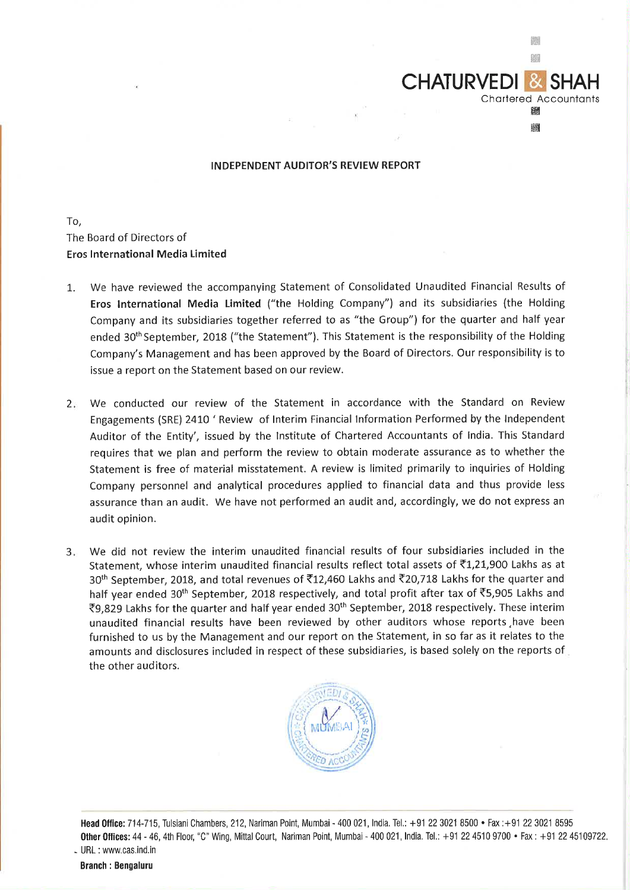

**CHATURVEDI &** 

Chartered Accountants ill Iii

臘 關

To, The Board of Directors of **Eros International Media Limited** 

- 1. We have reviewed the accompanying Statement of Consolidated Unaudited Financial Results of **Eros International Media Limited** ("the Holding Company") and its subsidiaries (the Holding Company and its subsidiaries together referred to as "the Group") for the quarter and half year ended 30<sup>th</sup> September, 2018 ("the Statement"). This Statement is the responsibility of the Holding Company's Management and has been approved by the Board of Directors. Our responsibility is to issue a report on the Statement based on our review.
- 2. We conducted our review of the Statement in accordance with the Standard on Review Engagements (SRE) 2410 ' Review of Interim Financial Information Performed by the Independent Auditor of the Entity', issued by the Institute of Chartered Accountants of India. This Standard requires that we plan and perform the review to obtain moderate assurance as to whether the Statement is free of material misstatement. A review is limited primarily to inquiries of Holding Company personnel and analytical procedures applied to financial data and thus provide less assurance than an audit. We have not performed an audit and, accordingly, we do not express an audit opinion.
- 3. We did not review the interim unaudited financial results of four subsidiaries included in the Statement, whose interim unaudited financial results reflect total assets of  $\bar{c}1,21,900$  Lakhs as at 30<sup>th</sup> September, 2018, and total revenues of ₹12,460 Lakhs and ₹20,718 Lakhs for the quarter and half year ended 30<sup>th</sup> September, 2018 respectively, and total profit after tax of  $\overline{5}5,905$  Lakhs and ₹9,829 Lakhs for the quarter and half year ended 30<sup>th</sup> September, 2018 respectively. These interim unaudited financial results have been reviewed by other auditors whose reports ,have been furnished to us by the Management and our report on the Statement, in so far as it relates to the amounts and disclosures included in respect of these subsidiaries, is based solely on the reports of the other auditors.



**Head Office:** 714-715, Tulsiani Chambers, 212, Nariman Point, Mumbai - 400 021, India. Tel.: +91 22 3021 8500 • Fax :+91 22 3021 8595 **Other Offices:** 44 - 46, 4th Floor, "C" Wing, Mittal Court, Nariman Point, Mumbai - <sup>400</sup>021, India. Tel.: +91 22 451 0 9700 • Fax: +91 22 45109722. - URL : www.cas.ind.in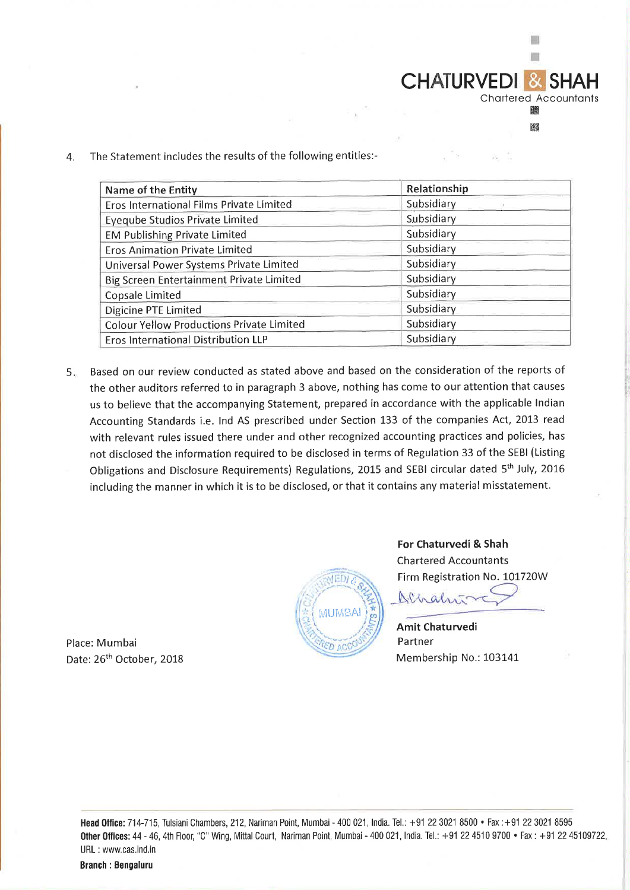$CHATURVEDI$ Chartered Accountants

> **图** ml

 $\Box$ ÷

4. The Statement includes the results of the following entities:-

| Name of the Entity                               | Relationship |  |  |  |
|--------------------------------------------------|--------------|--|--|--|
| Eros International Films Private Limited         | Subsidiary   |  |  |  |
| <b>Eyeqube Studios Private Limited</b>           | Subsidiary   |  |  |  |
| <b>EM Publishing Private Limited</b>             | Subsidiary   |  |  |  |
| <b>Eros Animation Private Limited</b>            | Subsidiary   |  |  |  |
| Universal Power Systems Private Limited          | Subsidiary   |  |  |  |
| Big Screen Entertainment Private Limited         | Subsidiary   |  |  |  |
| Copsale Limited                                  | Subsidiary   |  |  |  |
| <b>Digicine PTE Limited</b>                      | Subsidiary   |  |  |  |
| <b>Colour Yellow Productions Private Limited</b> | Subsidiary   |  |  |  |
| Eros International Distribution LLP              | Subsidiary   |  |  |  |

5. Based on our review conducted as stated above and based on the consideration of the reports of the other auditors referred to in paragraph 3 above, nothing has come to our attention that causes us to believe that the accompanying Statement, prepared in accordance with the applicable Indian Accounting Standards i.e. Ind AS prescribed under Section 133 of the companies Act, 2013 read with relevant rules issued there under and other recognized accounting practices and policies, has not disclosed the information required to be disclosed in terms of Regulation 33 of the SEBI (Listing Obligations and Disclosure Requirements) Regulations, 2015 and SEBI circular dated 5th July, <sup>2016</sup> including the manner in which it is to be disclosed, or that it contains any material misstatement.



**For Chaturvedi** & **Shah**  Chartered Accountants Firm Registration No. 101720W  $N_{A\wedge a}$ 

**Amit Chaturvedi**  Partner Membership No.: 103141

Place: Mumbai Date: 26<sup>th</sup> October, 2018

> **Head Oflice:** 714-715, Tulsiani Chambers, 212, Nariman Point, Mumbai- 400 021, India. Tel.: +91223021 8500 • Fax :+91223021 8595 **Other Offices:** 44 - 46, 4th Floor, "C" Wing, Mittal Court, Nariman Point, Mumbai - <sup>400</sup>021, India. Tel. : +91 22 451 0 9700 • Fax: +91 22 45109722. URL : www.cas.ind.in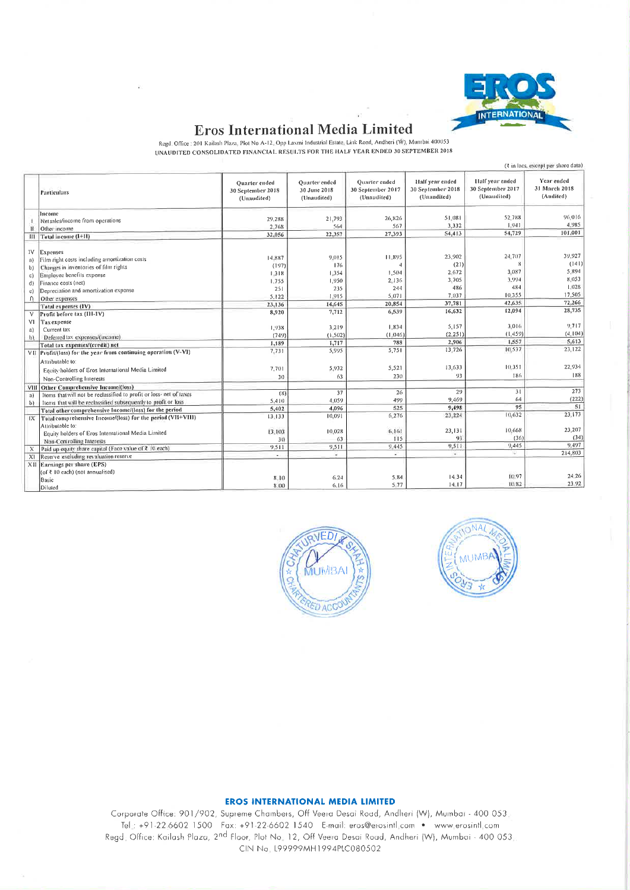

## **Eros International Media Limited**

Regd. Office : 201 Kailash Plaza, Plot No A-12, Opp Laxmi Industrial Estate, Link Road, Andheri (W), Mumbai 400053 UNAUDITED CONSOLIDATED FINANCIAL RESULTS FOR THE HALF YEAR ENDED 30 SEPTEMBER 2018

|          |                                                                     | (₹ in lacs, except per share data)                       |                                              |                                                          |                                                     |                                                     |                                          |
|----------|---------------------------------------------------------------------|----------------------------------------------------------|----------------------------------------------|----------------------------------------------------------|-----------------------------------------------------|-----------------------------------------------------|------------------------------------------|
|          | Particulars                                                         | <b>Ouarter</b> ended<br>30 September 2018<br>(Unaudited) | Quarter ended<br>30 June 2018<br>(Unaudited) | <b>Ouarter</b> ended<br>30 Sentember 2017<br>(Unaudited) | Half year ended<br>30 September 2018<br>(Unaudited) | Half year ended<br>30 Sentember 2017<br>(Unaudited) | Year ended<br>31 March 2018<br>(Audited) |
|          | Income                                                              |                                                          |                                              |                                                          |                                                     |                                                     |                                          |
|          | Net sales/income from operations                                    | 29.288                                                   | 21,793                                       | 26,826                                                   | 51.081                                              | 52.788                                              | 96.016                                   |
|          | Other income                                                        | 2.768                                                    | 564                                          | 567                                                      | 3.332                                               | 1.941                                               | 4,985                                    |
| m        | Tatal income (1+11)                                                 | 32,056                                                   | 22,357                                       | 27,393                                                   | 54,413                                              | 54,729                                              | 101,001                                  |
|          |                                                                     |                                                          |                                              |                                                          |                                                     |                                                     |                                          |
| 1V       | Expenses                                                            |                                                          |                                              |                                                          |                                                     |                                                     |                                          |
| a)       | Film right costs including amortization costs                       | 14.887                                                   | 9.015                                        | 11.895                                                   | 23,902                                              | 24,707                                              | 39.927                                   |
| b)       | Changes in inventories of film rights                               | (197)                                                    | 176                                          |                                                          | (21)                                                |                                                     | (141)                                    |
| c)       | Employee benefits expense                                           | 1.318                                                    | 1:354                                        | 1,504                                                    | 2.672                                               | 3,087                                               | 5,894                                    |
| d)       | Finance costs (net)                                                 | 1.755                                                    | 1,950                                        | 2.136                                                    | 3,705                                               | 3,994                                               | 8,053                                    |
| e)       | Depreciation and amortization expense                               | 251                                                      | 235                                          | 244                                                      | 486                                                 | 484                                                 | 1,028                                    |
| $\Omega$ | Other expenses                                                      | 5.122                                                    | 1.915                                        | 5.071                                                    | 7,037                                               | 10.355                                              | 17,505                                   |
|          | Total expenses (IV)                                                 | 23,136                                                   | 14,645                                       | 20,854                                                   | 37,781                                              | 42,635                                              | 72,266                                   |
|          | Profit before tax (III-IV)                                          | 8,920                                                    | 7,712                                        | 6,539                                                    | 16,632                                              | 12,094                                              | 28,735                                   |
| VI       | Tax expense                                                         |                                                          |                                              |                                                          |                                                     |                                                     |                                          |
| a)       | Current tax                                                         | 1,938                                                    | 3.219                                        | 1.834                                                    | 5,157                                               | 3.016                                               | 9,717                                    |
| b)       | Deferred tax expenses/(income)                                      | (749)                                                    | (1.502)                                      | (1.046)                                                  | (2.251)                                             | (1.459)                                             | (4.104)                                  |
|          | Total tax expenses/(credit) net                                     | 1,189                                                    | 1,717                                        | 788                                                      | 2,906                                               | 1,557                                               | 5,613                                    |
|          | VII Profit/(loss) for the year from continuing operation (V-VI)     | 7,731                                                    | 5,995                                        | 5,751                                                    | 13,726                                              | 10,537                                              | 23,122                                   |
|          | Attributable to:                                                    |                                                          |                                              |                                                          |                                                     |                                                     |                                          |
|          | Equity holders of Eros International Media Limited                  | 7.701                                                    | 5,932                                        | 5,521                                                    | 13.633                                              | 10:351                                              | 22,934                                   |
|          |                                                                     | 30                                                       | 63                                           | 230                                                      | 93                                                  | 186                                                 | 188                                      |
|          | Non-Controlling Interests                                           |                                                          |                                              |                                                          |                                                     |                                                     |                                          |
| VIII     | Other Comprehensive Income/(loss)                                   | (8)                                                      | 37                                           | 26                                                       | 29                                                  | 31                                                  | 273                                      |
| a)       | Items that will not be reclassified to profit or loss- net of taxes | 5,410                                                    | 4,059                                        | 499                                                      | 9,469                                               | 64                                                  | (222)                                    |
| p)       | Items that will be reclassified subsequently to profit or loss      | 5,402                                                    | 4,096                                        | 525                                                      | 9,498                                               | 95                                                  | 51                                       |
|          | Total other comprehensive Income/(loss) for the period              | 13.133                                                   | 10.091                                       | 6,276                                                    | 23,224                                              | 10,632                                              | 23,173                                   |
| IX       | Total comprehensive Income/(loss) for the period (VH+VIII)          |                                                          |                                              |                                                          |                                                     |                                                     |                                          |
|          | Attributable to:                                                    | 13.103                                                   | 10,028                                       | 6:161                                                    | 23,131                                              | 10,668                                              | 23,207                                   |
|          | Equity holders of Eros International Media Limited                  | 30                                                       | 63                                           | 115                                                      | 93                                                  | (36)                                                | (34)                                     |
|          | Non-Controlling Interests                                           | 9.511                                                    | 9,511                                        | 9.445                                                    | 9,511                                               | 9.445                                               | 9.497                                    |
|          | Paid up equity share capital (Face value of ₹ 10 each)              |                                                          | u.                                           | 43                                                       | ÷                                                   | $\geq 1$                                            | 214,803                                  |
|          | X1 Reserve excluding revaluation reserve                            |                                                          |                                              |                                                          |                                                     |                                                     |                                          |
|          | XII Earnings per share (EPS)                                        |                                                          |                                              |                                                          |                                                     |                                                     |                                          |
|          | (of ₹ 10 each) (not annualised)                                     | 8.10                                                     | $6 - 24$                                     | 5.84                                                     | 1434                                                | 10.97                                               | 24.26                                    |
|          | Basic                                                               | 8.00                                                     | 6.16                                         | 5.77                                                     | $14-17$                                             | 10.82                                               | 23.92                                    |
|          | Diluted                                                             |                                                          |                                              |                                                          |                                                     |                                                     |                                          |





## **EROS INTERNATIONAL MEDIA LIMITED**

Corporate Office: 901/902, Supreme Chambers, Off Veera Desai Road, Andheri (W), Mumbai - 400 053. Tel.: +91-22-6602 1500 Fax: +91-22-6602 1540 E-mail: eros@erosintl.com . www.erosintl.com Regd; Office: Kailash Plaza, 2nd Floor, Plot No. 12, Off Veera Desai Road, Andheri (W), Mumbai - 400 053. CIN No. 199999MH1994PLC080502